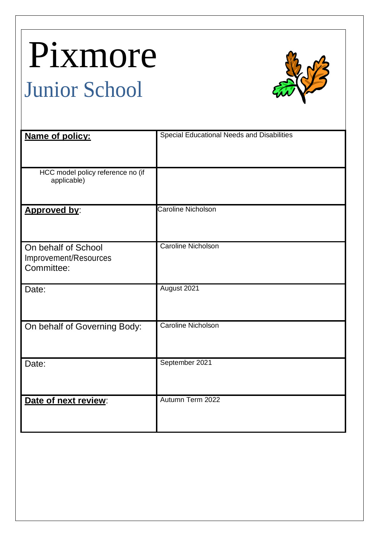# Pixmore Junior School



| Name of policy:                                            | <b>Special Educational Needs and Disabilities</b> |
|------------------------------------------------------------|---------------------------------------------------|
| HCC model policy reference no (if<br>applicable)           |                                                   |
| Approved by:                                               | <b>Caroline Nicholson</b>                         |
| On behalf of School<br>Improvement/Resources<br>Committee: | <b>Caroline Nicholson</b>                         |
| Date:                                                      | August 2021                                       |
| On behalf of Governing Body:                               | <b>Caroline Nicholson</b>                         |
| Date:                                                      | September 2021                                    |
| Date of next review:                                       | Autumn Term 2022                                  |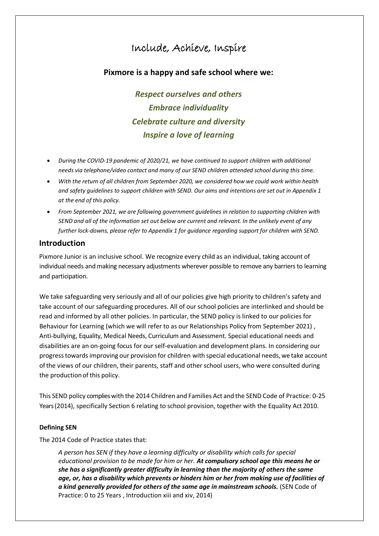# Include, Achieve, Inspire

# **Pixmore is a happy and safe school where we:**

*Respect ourselves and others Embrace individuality Celebrate culture and diversity Inspire a love of learning*

- *During the COVID-19 pandemic of 2020/21, we have continued to support children with additional needs via telephone/video contact and many of our SEND children attended school during this time.*
- **•** With the return of all children from September 2020, we considered how we could work within health *and safety guidelines to support children with SEND. Our aims and intentions are set out in Appendix 1 at the end of this policy.*
- *From September 2021, we are following government guidelines in relation to supporting children with SEND and all of the information set out below are current and relevant. In the unlikely event of any further lock-downs, please refer to Appendix 1 for guidance regarding support for children with SEND.*

# **Introduction**

Pixmore Junior is an inclusive school. We recognize every child as an individual, taking account of individual needs and making necessary adjustments wherever possible to remove any barriers to learning and participation.

We take safeguarding very seriously and all of our policies give high priority to children's safety and take account of our safeguarding procedures. All of our school policies are interlinked and should be read and informed by all other policies. In particular, the SEND policy is linked to our policies for Behaviour for Learning (which we will refer to as our Relationships Policy from September 2021) , Anti-bullying, Equality, Medical Needs, Curriculum and Assessment. Special educational needs and disabilities are an on-going focus for our self-evaluation and development plans. In considering our progress towards improving our provision for children with special educational needs, we take account ofthe views of our children, their parents, staff and other school users, who were consulted during the production of this policy.

This SEND policy complies with the 2014 Children and Families Act and the SEND Code of Practice: 0-25 Years (2014), specifically Section 6 relating to school provision, together with the Equality Act 2010.

# **Defining SEN**

The 2014 Code of Practice states that:

*A person has SEN if they have a learning difficulty or disability which calls for special educational provision to be made for him or her. At compulsory school age this means he or she has a significantly greater difficulty in learning than the majority of others the same age, or, has a disability which prevents or hinders him or her from making use of facilities of a kind generally provided for others of the same age in mainstream schools.* (SEN Code of Practice: 0 to 25 Years , Introduction xiii and xiv, 2014)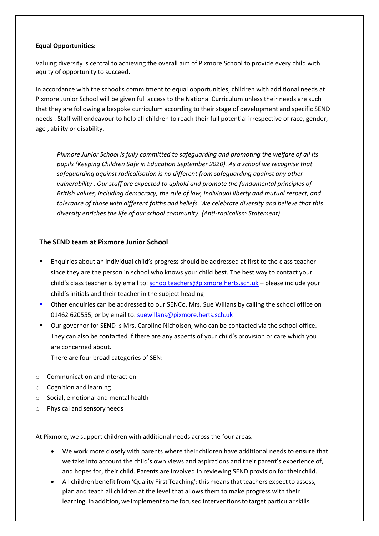#### **Equal Opportunities:**

Valuing diversity is central to achieving the overall aim of Pixmore School to provide every child with equity of opportunity to succeed.

In accordance with the school's commitment to equal opportunities, children with additional needs at Pixmore Junior School will be given full access to the National Curriculum unless their needs are such that they are following a bespoke curriculum according to their stage of development and specific SEND needs . Staff will endeavour to help all children to reach their full potential irrespective of race, gender, age , ability or disability.

*Pixmore Junior School is fully committed to safeguarding and promoting the welfare of all its pupils (Keeping Children Safe in Education September 2020). As a school we recognise that safeguarding against radicalisation is no different from safeguarding against any other vulnerability . Our staff are expected to uphold and promote the fundamental principles of British values, including democracy, the rule of law, individual liberty and mutual respect, and tolerance of those with different faiths and beliefs. We celebrate diversity and believe that this diversity enriches the life of our school community. (Anti-radicalism Statement)*

# **The SEND team at Pixmore Junior School**

- Enquiries about an individual child's progress should be addressed at first to the class teacher since they are the person in school who knows your child best. The best way to contact your child's class teacher is by email to: [schoolteachers@pixmore.herts.sch.uk](mailto:schoolteachers@pixmore.herts.sch.uk) – please include your child's initials and their teacher in the subject heading
- Other enquiries can be addressed to our SENCo, Mrs. Sue Willans by calling the school office on 01462 620555, or by email to: suewillans@pixmore.herts.sch.uk
- Our governor for SEND is Mrs. Caroline Nicholson, who can be contacted via the school office. They can also be contacted if there are any aspects of your child's provision or care which you are concerned about.

There are four broad categories of SEN:

- o Communication and interaction
- o Cognition and learning
- $\circ$  Social, emotional and mental health
- o Physical and sensoryneeds

At Pixmore, we support children with additional needs across the four areas.

- We work more closely with parents where their children have additional needs to ensure that we take into account the child's own views and aspirations and their parent's experience of, and hopes for, their child. Parents are involved in reviewing SEND provision for their child.
- All children benefit from 'Quality First Teaching': this means that teachers expect to assess, plan and teach all children at the level that allows them to make progress with their learning. In addition, we implementsome focused interventionsto target particularskills.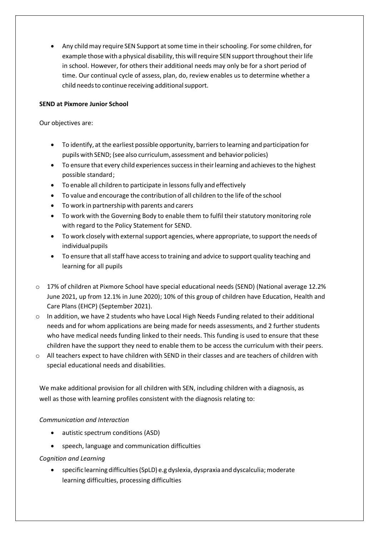Any child may require SEN Support at some time in their schooling. For some children, for example those with a physical disability, this will require SEN support throughout their life in school. However, for others their additional needs may only be for a short period of time. Our continual cycle of assess, plan, do, review enables us to determine whether a child needs to continue receiving additional support.

# **SEND at Pixmore Junior School**

Our objectives are:

- To identify, at the earliest possible opportunity, barriersto learning and participation for pupils with SEND; (see also curriculum, assessment and behavior policies)
- To ensure that every child experiences success in their learning and achieves to the highest possible standard;
- To enable all children to participate in lessons fully and effectively
- To value and encourage the contribution of all children to the life of the school
- To work in partnership with parents and carers
- To work with the Governing Body to enable them to fulfil their statutory monitoring role with regard to the Policy Statement for SEND.
- To work closely with external support agencies, where appropriate, to support the needs of individual pupils
- To ensure that all staff have access to training and advice to support quality teaching and learning for all pupils
- $\circ$  17% of children at Pixmore School have special educational needs (SEND) (National average 12.2% June 2021, up from 12.1% in June 2020); 10% of this group of children have Education, Health and Care Plans (EHCP) (September 2021).
- $\circ$  In addition, we have 2 students who have Local High Needs Funding related to their additional needs and for whom applications are being made for needs assessments, and 2 further students who have medical needs funding linked to their needs. This funding is used to ensure that these children have the support they need to enable them to be access the curriculum with their peers.
- o All teachers expect to have children with SEND in their classes and are teachers of children with special educational needs and disabilities.

We make additional provision for all children with SEN, including children with a diagnosis, as well as those with learning profiles consistent with the diagnosis relating to:

# *Communication and Interaction*

- autistic spectrum conditions (ASD)
- speech, language and communication difficulties

# *Cognition and Learning*

 specific learning difficulties(SpLD) e.g dyslexia, dyspraxia and dyscalculia;moderate learning difficulties, processing difficulties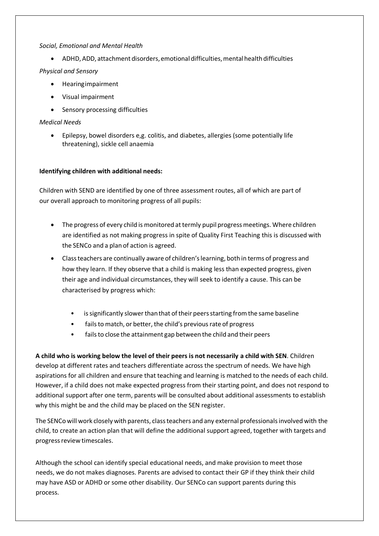#### *Social, Emotional and Mental Health*

• ADHD, ADD, attachment disorders, emotional difficulties, mental health difficulties

# *Physical and Sensory*

- Hearingimpairment
- Visual impairment
- Sensory processing difficulties

# *Medical Needs*

 Epilepsy, bowel disorders e,g. colitis, and diabetes, allergies (some potentially life threatening), sickle cell anaemia

# **Identifying children with additional needs:**

Children with SEND are identified by one of three assessment routes, all of which are part of our overall approach to monitoring progress of all pupils:

- The progress of every child is monitored at termly pupil progress meetings. Where children are identified as not making progress in spite of Quality First Teaching this is discussed with the SENCo and a plan of action is agreed.
- Classteachers are continually aware of children'slearning, both in terms of progress and how they learn. If they observe that a child is making less than expected progress, given their age and individual circumstances, they will seek to identify a cause. This can be characterised by progress which:
	- is significantly slower than that of their peers starting from the same baseline
	- fails to match, or better, the child's previous rate of progress
	- fails to close the attainment gap between the child and their peers

**A child who is working below the level of their peers is not necessarily a child with SEN**. Children develop at different rates and teachers differentiate across the spectrum of needs. We have high aspirations for all children and ensure that teaching and learning is matched to the needs of each child. However, if a child does not make expected progress from their starting point, and does not respond to additional support after one term, parents will be consulted about additional assessments to establish why this might be and the child may be placed on the SEN register.

The SENCo will work closely with parents, class teachers and any external professionals involved with the child, to create an action plan that will define the additional support agreed, together with targets and progress review timescales.

Although the school can identify special educational needs, and make provision to meet those needs, we do not makes diagnoses. Parents are advised to contact their GP if they think their child may have ASD or ADHD or some other disability. Our SENCo can support parents during this process.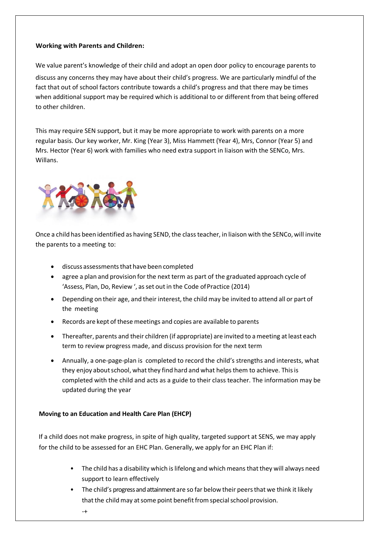#### **Working with Parents and Children:**

We value parent's knowledge of their child and adopt an open door policy to encourage parents to discuss any concerns they may have about their child's progress. We are particularly mindful of the fact that out of school factors contribute towards a child's progress and that there may be times when additional support may be required which is additional to or different from that being offered to other children.

This may require SEN support, but it may be more appropriate to work with parents on a more regular basis. Our key worker, Mr. King (Year 3), Miss Hammett (Year 4), Mrs, Connor (Year 5) and Mrs. Hector (Year 6) work with families who need extra support in liaison with the SENCo, Mrs. Willans.



Once a child has been identified as having SEND, the class teacher, in liaison with the SENCo, will invite the parents to a meeting to:

- discuss assessments that have been completed
- agree a plan and provision for the next term as part of the graduated approach cycle of 'Assess, Plan, Do, Review ', as set out in the Code of Practice (2014)
- Depending on their age, and their interest, the child may be invited to attend all or part of the meeting
- Records are kept of thesemeetings and copies are available to parents
- Thereafter, parents and their children (if appropriate) are invited to ameeting atleast each term to review progress made, and discuss provision for the next term
- Annually, a one-page-plan is completed to record the child's strengths and interests, what they enjoy about school, what they find hard and what helps them to achieve. This is completed with the child and acts as a guide to their class teacher. The information may be updated during the year

# **Moving to an Education and Health Care Plan (EHCP)**

If a child does not make progress, in spite of high quality, targeted support at SENS, we may apply for the child to be assessed for an EHC Plan. Generally, we apply for an EHC Plan if:

- The child has a disability which is lifelong and which means that they will always need support to learn effectively
- The child's progress and attainment are so far below their peers that we think it likely that the child may at some point benefit from special school provision.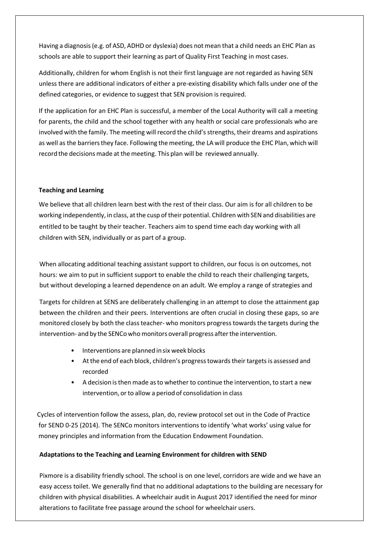Having a diagnosis(e.g. of ASD, ADHD or dyslexia) does not mean that a child needs an EHC Plan as schools are able to support their learning as part of Quality First Teaching in most cases.

Additionally, children for whom English is not their first language are not regarded as having SEN unless there are additional indicators of either a pre-existing disability which falls under one of the defined categories, or evidence to suggest that SEN provision is required.

If the application for an EHC Plan is successful, a member of the Local Authority will call a meeting for parents, the child and the school together with any health or social care professionals who are involved with the family. The meeting will record the child's strengths, their dreams and aspirations as well as the barriers they face. Following the meeting, the LA will produce the EHC Plan, which will record the decisions made at the meeting. This plan will be reviewed annually.

#### **Teaching and Learning**

We believe that all children learn best with the rest of their class. Our aim is for all children to be working independently, in class, at the cusp of their potential. Children with SEN and disabilities are entitled to be taught by their teacher. Teachers aim to spend time each day working with all children with SEN, individually or as part of a group.

When allocating additional teaching assistant support to children, our focus is on outcomes, not hours: we aim to put in sufficient support to enable the child to reach their challenging targets, but without developing a learned dependence on an adult. We employ a range of strategies and

Targets for children at SENS are deliberately challenging in an attempt to close the attainment gap between the children and their peers. Interventions are often crucial in closing these gaps, so are monitored closely by both the classteacher- who monitors progress towards the targets during the intervention- and by the SENCo who monitors overall progress after the intervention.

- Interventions are planned insix week blocks
- At the end of each block, children's progress towards their targets is assessed and recorded
- A decision isthen made asto whether to continue the intervention, to start a new intervention, or to allow a period of consolidation in class

Cycles of intervention follow the assess, plan, do, review protocol set out in the Code of Practice for SEND 0-25 (2014). The SENCo monitors interventions to identify 'what works' using value for money principles and information from the Education Endowment Foundation.

# **Adaptations to the Teaching and Learning Environment for children with SEND**

Pixmore is a disability friendly school. The school is on one level, corridors are wide and we have an easy access toilet. We generally find that no additional adaptations to the building are necessary for children with physical disabilities. A wheelchair audit in August 2017 identified the need for minor alterations to facilitate free passage around the school for wheelchair users.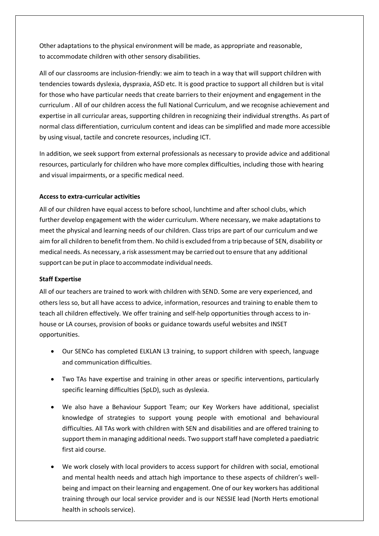Other adaptations to the physical environment will be made, as appropriate and reasonable, to accommodate children with other sensory disabilities.

All of our classrooms are inclusion-friendly: we aim to teach in a way that will support children with tendencies towards dyslexia, dyspraxia, ASD etc. It is good practice to support all children but is vital for those who have particular needs that create barriers to their enjoyment and engagement in the curriculum . All of our children access the full National Curriculum, and we recognise achievement and expertise in all curricular areas, supporting children in recognizing their individual strengths. As part of normal class differentiation, curriculum content and ideas can be simplified and made more accessible by using visual, tactile and concrete resources, including ICT.

In addition, we seek support from external professionals as necessary to provide advice and additional resources, particularly for children who have more complex difficulties, including those with hearing and visual impairments, or a specific medical need.

# **Access to extra-curricular activities**

All of our children have equal access to before school, lunchtime and after school clubs, which further develop engagement with the wider curriculum. Where necessary, we make adaptations to meet the physical and learning needs of our children. Class trips are part of our curriculum and we aim for all children to benefit from them. No child is excluded from a trip because of SEN, disability or medical needs. As necessary, a risk assessment may be carried out to ensure that any additional support can be put in place to accommodate individual needs.

#### **Staff Expertise**

All of our teachers are trained to work with children with SEND. Some are very experienced, and others less so, but all have access to advice, information, resources and training to enable them to teach all children effectively. We offer training and self-help opportunities through access to inhouse or LA courses, provision of books or guidance towards useful websites and INSET opportunities.

- Our SENCo has completed ELKLAN L3 training, to support children with speech, language and communication difficulties.
- Two TAs have expertise and training in other areas or specific interventions, particularly specific learning difficulties (SpLD), such as dyslexia.
- We also have a Behaviour Support Team; our Key Workers have additional, specialist knowledge of strategies to support young people with emotional and behavioural difficulties. All TAs work with children with SEN and disabilities and are offered training to support them in managing additional needs. Two support staff have completed a paediatric first aid course.
- We work closely with local providers to access support for children with social, emotional and mental health needs and attach high importance to these aspects of children's wellbeing and impact on their learning and engagement. One of our key workers has additional training through our local service provider and is our NESSIE lead (North Herts emotional health in schools service).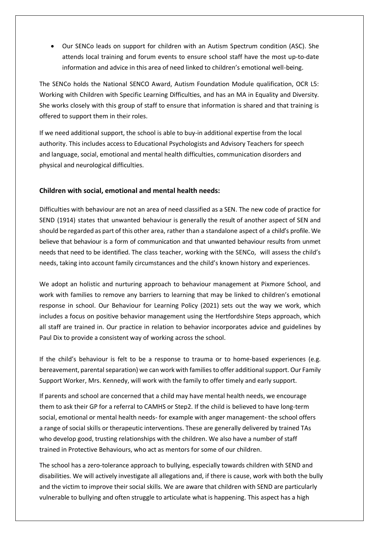Our SENCo leads on support for children with an Autism Spectrum condition (ASC). She attends local training and forum events to ensure school staff have the most up-to-date information and advice in this area of need linked to children's emotional well-being.

The SENCo holds the National SENCO Award, Autism Foundation Module qualification, OCR L5: Working with Children with Specific Learning Difficulties, and has an MA in Equality and Diversity. She works closely with this group of staff to ensure that information is shared and that training is offered to support them in their roles.

If we need additional support, the school is able to buy-in additional expertise from the local authority. This includes access to Educational Psychologists and Advisory Teachers for speech and language, social, emotional and mental health difficulties, communication disorders and physical and neurological difficulties.

#### **Children with social, emotional and mental health needs:**

Difficulties with behaviour are not an area of need classified as a SEN. The new code of practice for SEND (1914) states that unwanted behaviour is generally the result of another aspect of SEN and should be regarded as part of this other area, rather than a standalone aspect of a child's profile. We believe that behaviour is a form of communication and that unwanted behaviour results from unmet needs that need to be identified. The class teacher, working with the SENCo, will assess the child's needs, taking into account family circumstances and the child's known history and experiences.

We adopt an holistic and nurturing approach to behaviour management at Pixmore School, and work with families to remove any barriers to learning that may be linked to children's emotional response in school. Our Behaviour for Learning Policy (2021) sets out the way we work, which includes a focus on positive behavior management using the Hertfordshire Steps approach, which all staff are trained in. Our practice in relation to behavior incorporates advice and guidelines by Paul Dix to provide a consistent way of working across the school.

If the child's behaviour is felt to be a response to trauma or to home-based experiences (e.g. bereavement, parental separation) we can work with families to offer additional support. Our Family Support Worker, Mrs. Kennedy, will work with the family to offer timely and early support.

If parents and school are concerned that a child may have mental health needs, we encourage them to ask their GP for a referral to CAMHS or Step2. If the child is believed to have long-term social, emotional or mental health needs- for example with anger management- the school offers a range of social skills or therapeutic interventions. These are generally delivered by trained TAs who develop good, trusting relationships with the children. We also have a number of staff trained in Protective Behaviours, who act as mentors for some of our children.

The school has a zero-tolerance approach to bullying, especially towards children with SEND and disabilities. We will actively investigate all allegations and, if there is cause, work with both the bully and the victim to improve their social skills. We are aware that children with SEND are particularly vulnerable to bullying and often struggle to articulate what is happening. This aspect has a high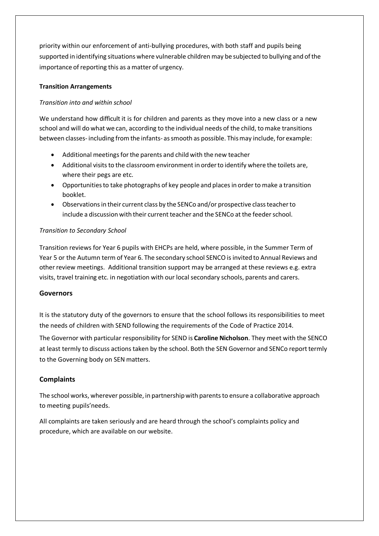priority within our enforcement of anti-bullying procedures, with both staff and pupils being supported in identifying situations where vulnerable childrenmay be subjected to bullying and ofthe importance of reporting this as a matter of urgency.

# **Transition Arrangements**

# *Transition into and within school*

We understand how difficult it is for children and parents as they move into a new class or a new school and will do what we can, according to the individual needs of the child, to make transitions between classes-including fromthe infants- assmooth as possible. Thismay include, for example:

- Additional meetings for the parents and child with the new teacher
- Additional visits to the classroom environment in order to identify where the toilets are, where their pegs are etc.
- Opportunitiesto take photographs of key people and placesin orderto make a transition booklet.
- Observations in their current class by the SENCo and/or prospective class teacher to include a discussion with their current teacher and the SENCo at the feeder school.

# *Transition to Secondary School*

Transition reviews for Year 6 pupils with EHCPs are held, where possible, in the Summer Term of Year 5 or the Autumn term of Year 6. The secondary school SENCO isinvited to Annual Reviews and other review meetings. Additional transition support may be arranged at these reviews e.g. extra visits, travel training etc. in negotiation with our local secondary schools, parents and carers.

# **Governors**

It is the statutory duty of the governors to ensure that the school follows its responsibilities to meet the needs of children with SEND following the requirements of the Code of Practice 2014.

The Governor with particular responsibility for SEND is **Caroline Nicholson**. They meet with the SENCO at least termly to discuss actions taken by the school. Both the SEN Governor and SENCo report termly to the Governing body on SEN matters.

# **Complaints**

The school works, wherever possible, in partnership with parents to ensure a collaborative approach to meeting pupils'needs.

All complaints are taken seriously and are heard through the school's complaints policy and procedure, which are available on our website.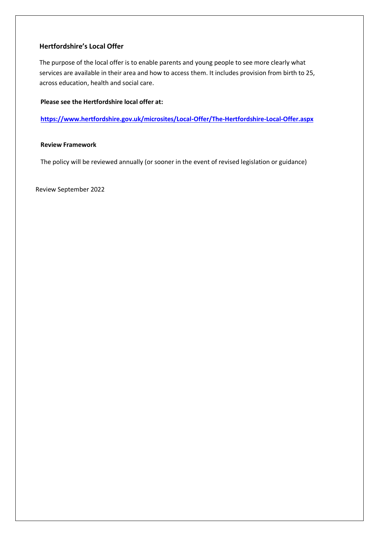# **Hertfordshire's Local Offer**

The purpose of the local offer is to enable parents and young people to see more clearly what services are available in their area and how to access them. It includes provision from birth to 25, across education, health and social care.

#### **Please see the Hertfordshire local offer at:**

**<https://www.hertfordshire.gov.uk/microsites/Local-Offer/The-Hertfordshire-Local-Offer.aspx>**

#### **Review Framework**

The policy will be reviewed annually (or sooner in the event of revised legislation or guidance)

Review September 2022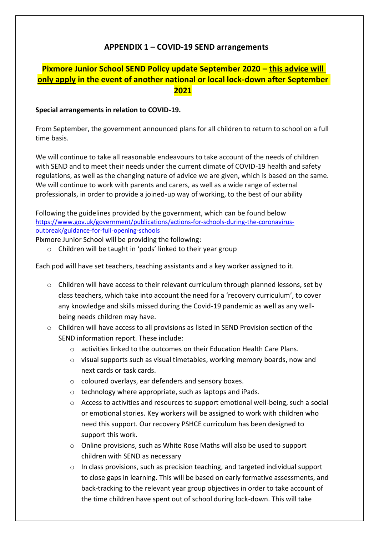# **APPENDIX 1 – COVID-19 SEND arrangements**

# **Pixmore Junior School SEND Policy update September 2020 – this advice will only apply in the event of another national or local lock-down after September 2021**

# **Special arrangements in relation to COVID-19.**

From September, the government announced plans for all children to return to school on a full time basis.

We will continue to take all reasonable endeavours to take account of the needs of children with SEND and to meet their needs under the current climate of COVID-19 health and safety regulations, as well as the changing nature of advice we are given, which is based on the same. We will continue to work with parents and carers, as well as a wide range of external professionals, in order to provide a joined-up way of working, to the best of our ability

Following the guidelines provided by the government, which can be found below [https://www.gov.uk/government/publications/actions-for-schools-during-the-coronavirus](https://www.gov.uk/government/publications/actions-for-schools-during-the-coronavirus-outbreak/guidance-for-full-opening-schools)[outbreak/guidance-for-full-opening-schools](https://www.gov.uk/government/publications/actions-for-schools-during-the-coronavirus-outbreak/guidance-for-full-opening-schools)

Pixmore Junior School will be providing the following:

o Children will be taught in 'pods' linked to their year group

Each pod will have set teachers, teaching assistants and a key worker assigned to it.

- $\circ$  Children will have access to their relevant curriculum through planned lessons, set by class teachers, which take into account the need for a 'recovery curriculum', to cover any knowledge and skills missed during the Covid-19 pandemic as well as any wellbeing needs children may have.
- o Children will have access to all provisions as listed in SEND Provision section of the SEND information report. These include:
	- o activities linked to the outcomes on their Education Health Care Plans.
	- o visual supports such as visual timetables, working memory boards, now and next cards or task cards.
	- o coloured overlays, ear defenders and sensory boxes.
	- o technology where appropriate, such as laptops and iPads.
	- o Access to activities and resources to support emotional well-being, such a social or emotional stories. Key workers will be assigned to work with children who need this support. Our recovery PSHCE curriculum has been designed to support this work.
	- o Online provisions, such as White Rose Maths will also be used to support children with SEND as necessary
	- $\circ$  In class provisions, such as precision teaching, and targeted individual support to close gaps in learning. This will be based on early formative assessments, and back-tracking to the relevant year group objectives in order to take account of the time children have spent out of school during lock-down. This will take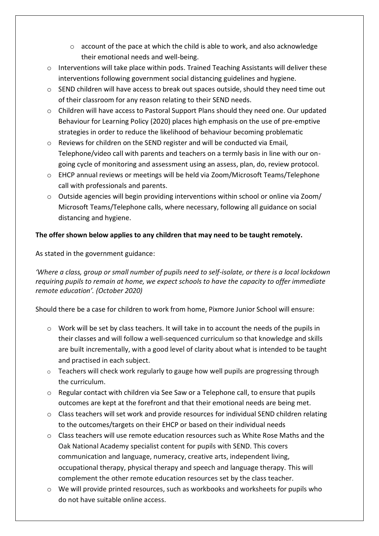- $\circ$  account of the pace at which the child is able to work, and also acknowledge their emotional needs and well-being.
- $\circ$  Interventions will take place within pods. Trained Teaching Assistants will deliver these interventions following government social distancing guidelines and hygiene.
- $\circ$  SEND children will have access to break out spaces outside, should they need time out of their classroom for any reason relating to their SEND needs.
- o Children will have access to Pastoral Support Plans should they need one. Our updated Behaviour for Learning Policy (2020) places high emphasis on the use of pre-emptive strategies in order to reduce the likelihood of behaviour becoming problematic
- o Reviews for children on the SEND register and will be conducted via Email, Telephone/video call with parents and teachers on a termly basis in line with our ongoing cycle of monitoring and assessment using an assess, plan, do, review protocol.
- o EHCP annual reviews or meetings will be held via Zoom/Microsoft Teams/Telephone call with professionals and parents.
- $\circ$  Outside agencies will begin providing interventions within school or online via Zoom/ Microsoft Teams/Telephone calls, where necessary, following all guidance on social distancing and hygiene.

# **The offer shown below applies to any children that may need to be taught remotely.**

As stated in the government guidance:

*'Where a class, group or small number of pupils need to self-isolate, or there is a local lockdown requiring pupils to remain at home, we expect schools to have the capacity to offer immediate remote education'. (October 2020)*

Should there be a case for children to work from home, Pixmore Junior School will ensure:

- o Work will be set by class teachers. It will take in to account the needs of the pupils in their classes and will follow a well-sequenced curriculum so that knowledge and skills are built incrementally, with a good level of clarity about what is intended to be taught and practised in each subject.
- $\circ$  Teachers will check work regularly to gauge how well pupils are progressing through the curriculum.
- $\circ$  Regular contact with children via See Saw or a Telephone call, to ensure that pupils outcomes are kept at the forefront and that their emotional needs are being met.
- $\circ$  Class teachers will set work and provide resources for individual SEND children relating to the outcomes/targets on their EHCP or based on their individual needs
- o Class teachers will use remote education resources such as White Rose Maths and the Oak National Academy specialist content for pupils with SEND. This covers communication and language, numeracy, creative arts, independent living, occupational therapy, physical therapy and speech and language therapy. This will complement the other remote education resources set by the class teacher.
- $\circ$  We will provide printed resources, such as workbooks and worksheets for pupils who do not have suitable online access.